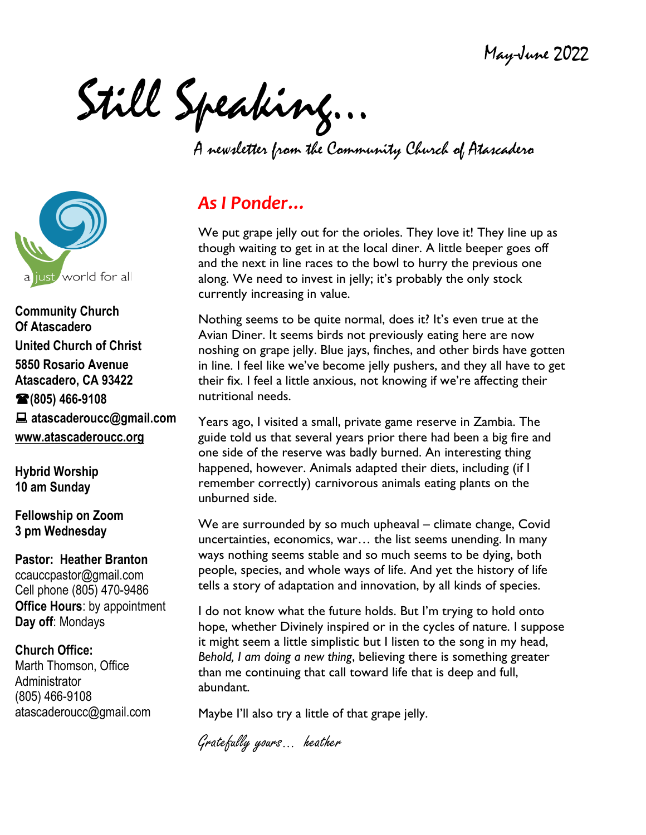May-June 2022

Still Speaking…

A newsletter from the Community Church of Atascadero



**Community Church Of Atascadero United Church of Christ 5850 Rosario Avenue Atascadero, CA 93422 (805) 466-9108 atascaderoucc@gmail.com [www.atascaderoucc.org](http://www.atascaderoucc.org/)**

**Hybrid Worship 10 am Sunday**

**Fellowship on Zoom 3 pm Wednesday**

**Pastor: Heather Branton** ccauccpastor@gmail.com Cell phone [\(805\)](tel:%28734.904.3113) 470-9486 **Office Hours**: by appointment **Day off**: Mondays

**Church Office:** Marth Thomson, Office Administrator (805) 466-9108 atascaderoucc@gmail.com

# *As I Ponder…*

We put grape jelly out for the orioles. They love it! They line up as though waiting to get in at the local diner. A little beeper goes off and the next in line races to the bowl to hurry the previous one along. We need to invest in jelly; it's probably the only stock currently increasing in value.

Nothing seems to be quite normal, does it? It's even true at the Avian Diner. It seems birds not previously eating here are now noshing on grape jelly. Blue jays, finches, and other birds have gotten in line. I feel like we've become jelly pushers, and they all have to get their fix. I feel a little anxious, not knowing if we're affecting their nutritional needs.

Years ago, I visited a small, private game reserve in Zambia. The guide told us that several years prior there had been a big fire and one side of the reserve was badly burned. An interesting thing happened, however. Animals adapted their diets, including (if I remember correctly) carnivorous animals eating plants on the unburned side.

We are surrounded by so much upheaval – climate change, Covid uncertainties, economics, war… the list seems unending. In many ways nothing seems stable and so much seems to be dying, both people, species, and whole ways of life. And yet the history of life tells a story of adaptation and innovation, by all kinds of species.

I do not know what the future holds. But I'm trying to hold onto hope, whether Divinely inspired or in the cycles of nature. I suppose it might seem a little simplistic but I listen to the song in my head, *Behold, I am doing a new thing*, believing there is something greater than me continuing that call toward life that is deep and full, abundant.

Maybe I'll also try a little of that grape jelly.

Gratefully yours… heather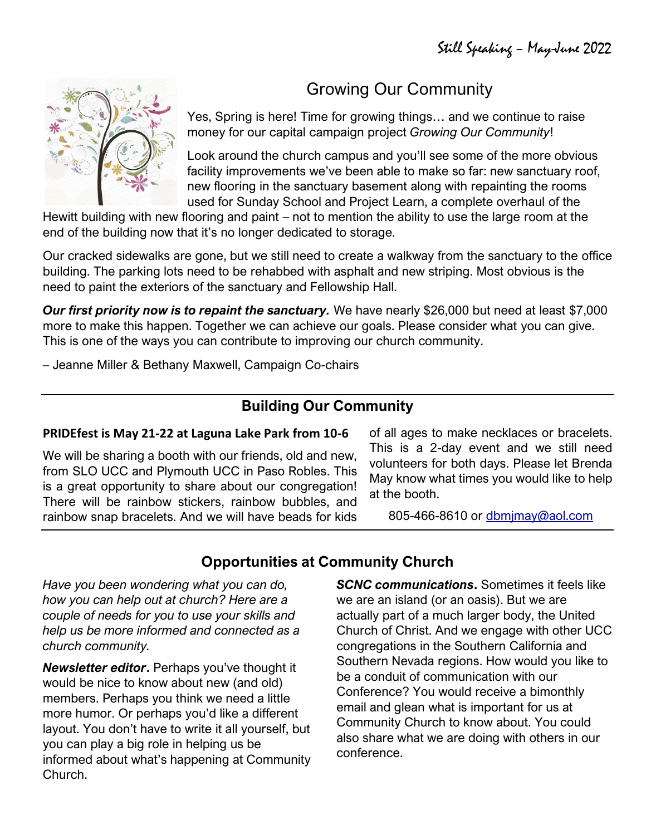# Growing Our Community

Yes, Spring is here! Time for growing things… and we continue to raise money for our capital campaign project *Growing Our Community*!

Look around the church campus and you'll see some of the more obvious facility improvements we've been able to make so far: new sanctuary roof, new flooring in the sanctuary basement along with repainting the rooms used for Sunday School and Project Learn, a complete overhaul of the

Hewitt building with new flooring and paint – not to mention the ability to use the large room at the end of the building now that it's no longer dedicated to storage.

Our cracked sidewalks are gone, but we still need to create a walkway from the sanctuary to the office building. The parking lots need to be rehabbed with asphalt and new striping. Most obvious is the need to paint the exteriors of the sanctuary and Fellowship Hall.

*Our first priority now is to repaint the sanctuary.* We have nearly \$26,000 but need at least \$7,000 more to make this happen. Together we can achieve our goals. Please consider what you can give. This is one of the ways you can contribute to improving our church community.

– Jeanne Miller & Bethany Maxwell, Campaign Co-chairs

## **Building Our Community**

#### **PRIDEfest is May 21-22 at Laguna Lake Park from 10-6**

We will be sharing a booth with our friends, old and new, from SLO UCC and Plymouth UCC in Paso Robles. This is a great opportunity to share about our congregation! There will be rainbow stickers, rainbow bubbles, and rainbow snap bracelets. And we will have beads for kids of all ages to make necklaces or bracelets. This is a 2-day event and we still need volunteers for both days. Please let Brenda May know what times you would like to help at the booth.

805-466-8610 or [dbmjmay@aol.com](mailto:dbmjmay@aol.com)

# **Opportunities at Community Church**

*Have you been wondering what you can do, how you can help out at church? Here are a couple of needs for you to use your skills and help us be more informed and connected as a church community.*

*Newsletter editor***.** Perhaps you've thought it would be nice to know about new (and old) members. Perhaps you think we need a little more humor. Or perhaps you'd like a different layout. You don't have to write it all yourself, but you can play a big role in helping us be informed about what's happening at Community Church.

*SCNC communications***.** Sometimes it feels like we are an island (or an oasis). But we are actually part of a much larger body, the United Church of Christ. And we engage with other UCC congregations in the Southern California and Southern Nevada regions. How would you like to be a conduit of communication with our Conference? You would receive a bimonthly email and glean what is important for us at Community Church to know about. You could also share what we are doing with others in our conference.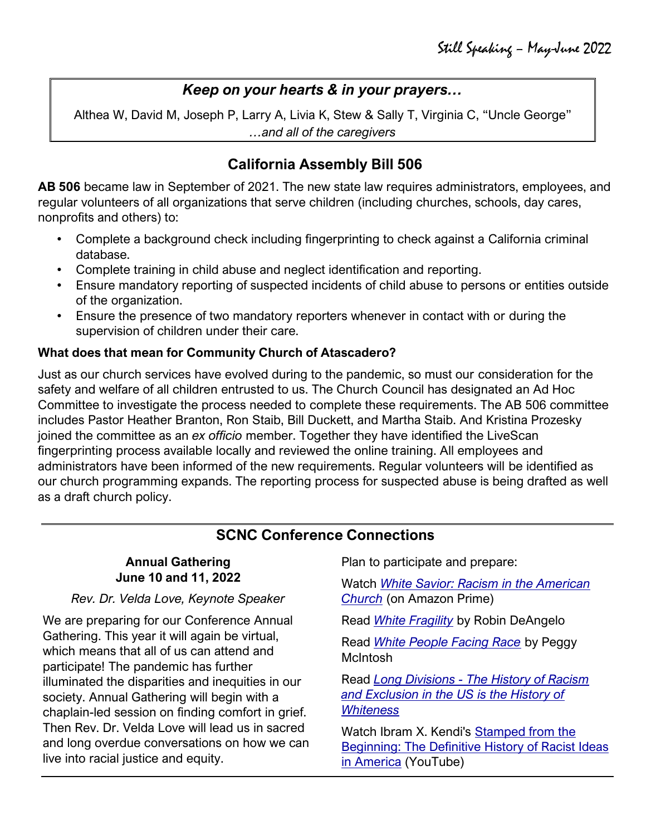## *Keep on your hearts & in your prayers…*

Althea W, David M, Joseph P, Larry A, Livia K, Stew & Sally T, Virginia C, "Uncle George" *…and all of the caregivers*

## **California Assembly Bill 506**

**AB 506** became law in September of 2021. The new state law requires administrators, employees, and regular volunteers of all organizations that serve children (including churches, schools, day cares, nonprofits and others) to:

- Complete a background check including fingerprinting to check against a California criminal database.
- Complete training in child abuse and neglect identification and reporting.
- Ensure mandatory reporting of suspected incidents of child abuse to persons or entities outside of the organization.
- Ensure the presence of two mandatory reporters whenever in contact with or during the supervision of children under their care.

#### **What does that mean for Community Church of Atascadero?**

Just as our church services have evolved during to the pandemic, so must our consideration for the safety and welfare of all children entrusted to us. The Church Council has designated an Ad Hoc Committee to investigate the process needed to complete these requirements. The AB 506 committee includes Pastor Heather Branton, Ron Staib, Bill Duckett, and Martha Staib. And Kristina Prozesky joined the committee as an *ex officio* member. Together they have identified the LiveScan fingerprinting process available locally and reviewed the online training. All employees and administrators have been informed of the new requirements. Regular volunteers will be identified as our church programming expands. The reporting process for suspected abuse is being drafted as well as a draft church policy.

### **SCNC Conference Connections**

| <b>Annual Gathering</b>                                                                                                                                                                                                                                                                          | Plan to participate and prepare:                                                                                     |  |
|--------------------------------------------------------------------------------------------------------------------------------------------------------------------------------------------------------------------------------------------------------------------------------------------------|----------------------------------------------------------------------------------------------------------------------|--|
| June 10 and 11, 2022<br>Rev. Dr. Velda Love, Keynote Speaker                                                                                                                                                                                                                                     | Watch White Savior: Racism in the American<br><b>Church</b> (on Amazon Prime)                                        |  |
| We are preparing for our Conference Annual                                                                                                                                                                                                                                                       | Read White Fragility by Robin DeAngelo                                                                               |  |
| Gathering. This year it will again be virtual,<br>which means that all of us can attend and<br>participate! The pandemic has further                                                                                                                                                             | Read White People Facing Race by Peggy<br><b>McIntosh</b>                                                            |  |
| illuminated the disparities and inequities in our<br>society. Annual Gathering will begin with a<br>chaplain-led session on finding comfort in grief.<br>Then Rev. Dr. Velda Love will lead us in sacred<br>and long overdue conversations on how we can<br>live into racial justice and equity. | Read Long Divisions - The History of Racism<br>and Exclusion in the US is the History of<br><b>Whiteness</b>         |  |
|                                                                                                                                                                                                                                                                                                  | Watch Ibram X. Kendi's Stamped from the<br>Beginning: The Definitive History of Racist Ideas<br>in America (YouTube) |  |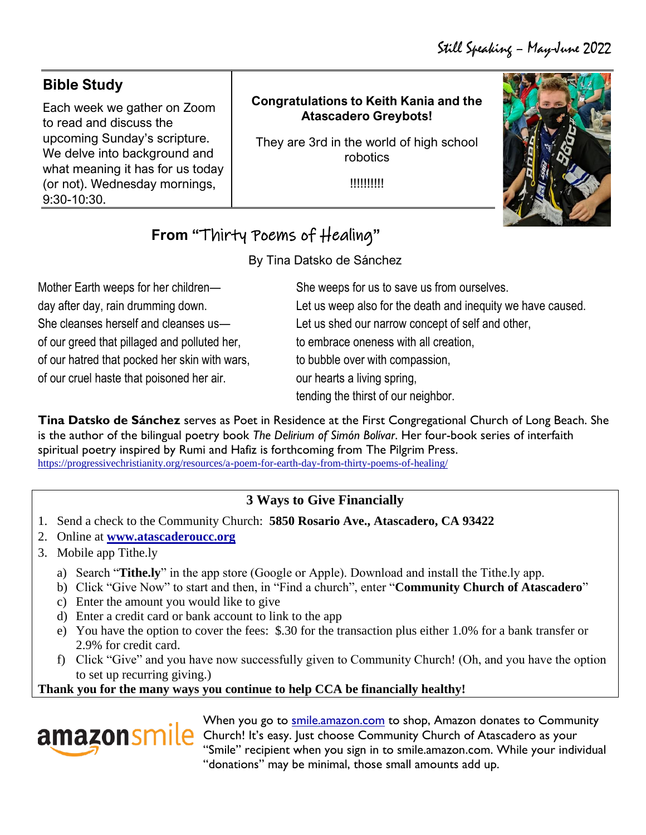| <b>Bible Study</b>                                                                               |                                                                              |  |
|--------------------------------------------------------------------------------------------------|------------------------------------------------------------------------------|--|
| Each week we gather on Zoom<br>to read and discuss the                                           | <b>Congratulations to Keith Kania and the</b><br><b>Atascadero Greybots!</b> |  |
| upcoming Sunday's scripture.<br>We delve into background and<br>what meaning it has for us today | They are 3rd in the world of high school<br>robotics                         |  |
| (or not). Wednesday mornings,<br>9:30-10:30.                                                     | !!!!!!!!!!                                                                   |  |

# **From "**Thirty Poems of Healing**"**

By Tina Datsko de Sánchez

Mother Earth weeps for her children day after day, rain drumming down. She cleanses herself and cleanses us of our greed that pillaged and polluted her, of our hatred that pocked her skin with wars, of our cruel haste that poisoned her air.

She weeps for us to save us from ourselves. Let us weep also for the death and inequity we have caused. Let us shed our narrow concept of self and other, to embrace oneness with all creation, to bubble over with compassion, our hearts a living spring, tending the thirst of our neighbor.

**Tina Datsko de Sánchez** serves as Poet in Residence at the First Congregational Church of Long Beach. She is the author of the bilingual poetry book *The Delirium of Simón Bolívar*. Her four-book series of interfaith spiritual poetry inspired by Rumi and Hafiz is forthcoming from The Pilgrim Press. <https://progressivechristianity.org/resources/a-poem-for-earth-day-from-thirty-poems-of-healing/>

## **3 Ways to Give Financially**

- 1. Send a check to the Community Church: **5850 Rosario Ave., Atascadero, CA 93422**
- 2. Online at **[www.atascaderoucc.org](http://www.atascaderoucc.org/)**
- 3. Mobile app Tithe.ly
	- a) Search "**Tithe.ly**" in the app store (Google or Apple). Download and install the Tithe.ly app.
	- b) Click "Give Now" to start and then, in "Find a church", enter "**Community Church of Atascadero**"
	- c) Enter the amount you would like to give
	- d) Enter a credit card or bank account to link to the app
	- e) You have the option to cover the fees: \$.30 for the transaction plus either 1.0% for a bank transfer or 2.9% for credit card.
	- f) Click "Give" and you have now successfully given to Community Church! (Oh, and you have the option to set up recurring giving.)

#### **Thank you for the many ways you continue to help CCA be financially healthy!**



When you go to [smile.amazon.com](file:///C:/Users/hbran/Dropbox/CCA/Newsletter/smile.amazon.com) to shop, Amazon donates to Community amazon Smile Church! It's easy. Just choose Community Church of Atascadero as your "Smile" recipient when you sign in to smile.amazon.com. While your individual "donations" may be minimal, those small amounts add up.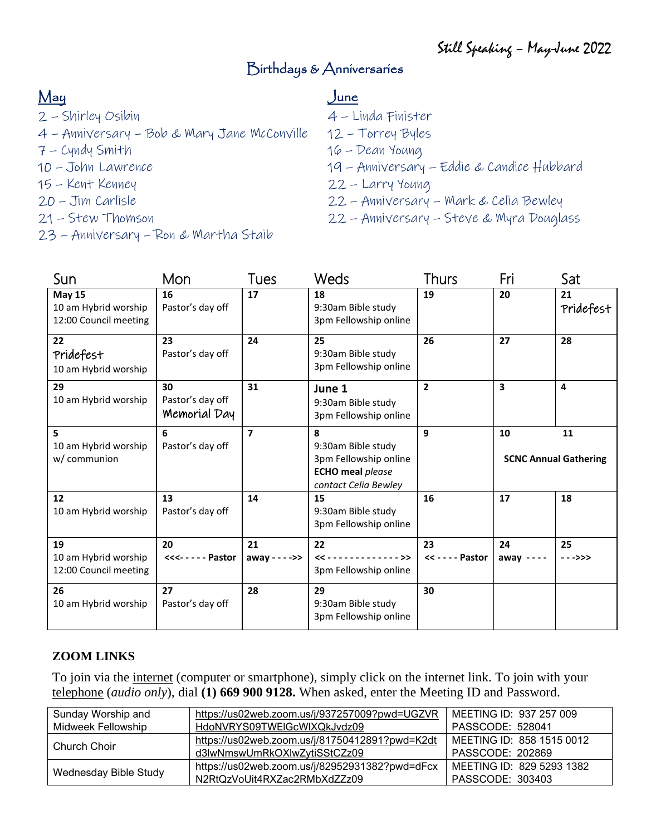# Birthdays & Anniversaries

# May

- 2 Shirley Osibin
- 4 Anniversary Bob & Mary Jane McConville
- 7 Cyndy Smith
- 10 John Lawrence
- 15 Kent Kenney
- 20 Jim Carlisle
- 21 Stew Thomson
- 23 Anniversary Ron & Martha Staib

#### June

- 4 Linda Finister
- 12 Torrey Byles
- 16 Dean Young
- 19 Anniversary Eddie & Candice Hubbard
- 22 Larry Young
- 22 Anniversary Mark & Celia Bewley
- 22 Anniversary Steve & Myra Douglass

| Sun                                                            | Mon                                    | Tues                    | <b>Weds</b>                                                                                         | <b>Thurs</b>            | Fri                                | Sat                     |
|----------------------------------------------------------------|----------------------------------------|-------------------------|-----------------------------------------------------------------------------------------------------|-------------------------|------------------------------------|-------------------------|
| <b>May 15</b><br>10 am Hybrid worship<br>12:00 Council meeting | 16<br>Pastor's day off                 | 17                      | 18<br>9:30am Bible study<br>3pm Fellowship online                                                   | 19                      | 20                                 | 21<br>Pridefest         |
| 22<br>Pridefest<br>10 am Hybrid worship                        | 23<br>Pastor's day off                 | 24                      | 25<br>9:30am Bible study<br>3pm Fellowship online                                                   | 26                      | 27                                 | 28                      |
| 29<br>10 am Hybrid worship                                     | 30<br>Pastor's day off<br>Memorial Day | 31                      | June 1<br>9:30am Bible study<br>3pm Fellowship online                                               | $\overline{2}$          | $\overline{\mathbf{3}}$            | $\overline{\mathbf{A}}$ |
| 5<br>10 am Hybrid worship<br>w/ communion                      | 6<br>Pastor's day off                  | $\overline{\mathbf{z}}$ | 8<br>9:30am Bible study<br>3pm Fellowship online<br><b>ECHO</b> meal please<br>contact Celia Bewley | 9                       | 10<br><b>SCNC Annual Gathering</b> | 11                      |
| 12<br>10 am Hybrid worship                                     | 13<br>Pastor's day off                 | 14                      | 15<br>9:30am Bible study<br>3pm Fellowship online                                                   | 16                      | 17                                 | 18                      |
| 19<br>10 am Hybrid worship<br>12:00 Council meeting            | 20<br><<<----- Pastor                  | 21<br>away - - - ->>    | 22<br>$\langle \langle$ >><br>3pm Fellowship online                                                 | 23<br><< - - - - Pastor | 24<br>$away - - - -$               | 25<br>$- - > > >$       |
| 26<br>10 am Hybrid worship                                     | 27<br>Pastor's day off                 | 28                      | 29<br>9:30am Bible study<br>3pm Fellowship online                                                   | 30                      |                                    |                         |

#### **ZOOM LINKS**

To join via the internet (computer or smartphone), simply click on the internet link. To join with your telephone (*audio only*), dial **(1) 669 900 9128.** When asked, enter the Meeting ID and Password.

| Sunday Worship and    | https://us02web.zoom.us/j/937257009?pwd=UGZVR  | MEETING ID: 937 257 009   |
|-----------------------|------------------------------------------------|---------------------------|
| Midweek Fellowship    | HdoNVRYS09TWEIGcWIXQkJvdz09                    | PASSCODE: 528041          |
| Church Choir          | https://us02web.zoom.us/j/81750412891?pwd=K2dt | MEETING ID: 858 1515 0012 |
|                       | d3lwNmswUmRkOXlwZytiSStCZz09                   | PASSCODE: 202869          |
| Wednesday Bible Study | https://us02web.zoom.us/j/82952931382?pwd=dFcx | MEETING ID: 829 5293 1382 |
|                       | N2RtQzVoUit4RXZac2RMbXdZZz09                   | PASSCODE: 303403          |